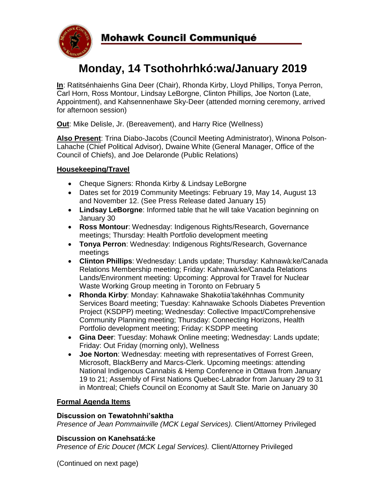

# **Monday, 14 Tsothohrhkó:wa/January 2019**

**In**: Ratitsénhaienhs Gina Deer (Chair), Rhonda Kirby, Lloyd Phillips, Tonya Perron, Carl Horn, Ross Montour, Lindsay LeBorgne, Clinton Phillips, Joe Norton (Late, Appointment), and Kahsennenhawe Sky-Deer (attended morning ceremony, arrived for afternoon session)

**Out**: Mike Delisle, Jr. (Bereavement), and Harry Rice (Wellness)

**Also Present**: Trina Diabo-Jacobs (Council Meeting Administrator), Winona Polson-Lahache (Chief Political Advisor), Dwaine White (General Manager, Office of the Council of Chiefs), and Joe Delaronde (Public Relations)

## **Housekeeping/Travel**

- Cheque Signers: Rhonda Kirby & Lindsay LeBorgne
- Dates set for 2019 Community Meetings: February 19, May 14, August 13 and November 12. (See Press Release dated January 15)
- **Lindsay LeBorgne**: Informed table that he will take Vacation beginning on January 30
- **Ross Montour**: Wednesday: Indigenous Rights/Research, Governance meetings; Thursday: Health Portfolio development meeting
- **Tonya Perron**: Wednesday: Indigenous Rights/Research, Governance meetings
- **Clinton Phillips**: Wednesday: Lands update; Thursday: Kahnawà:ke/Canada Relations Membership meeting; Friday: Kahnawà:ke/Canada Relations Lands/Environment meeting: Upcoming: Approval for Travel for Nuclear Waste Working Group meeting in Toronto on February 5
- **Rhonda Kirby**: Monday: Kahnawake Shakotiia'takéhnhas Community Services Board meeting; Tuesday: Kahnawake Schools Diabetes Prevention Project (KSDPP) meeting; Wednesday: Collective Impact/Comprehensive Community Planning meeting; Thursday: Connecting Horizons, Health Portfolio development meeting; Friday: KSDPP meeting
- **Gina Deer**: Tuesday: Mohawk Online meeting; Wednesday: Lands update; Friday: Out Friday (morning only), Wellness
- **Joe Norton**: Wednesday: meeting with representatives of Forrest Green, Microsoft, BlackBerry and Marcs-Clerk. Upcoming meetings: attending National Indigenous Cannabis & Hemp Conference in Ottawa from January 19 to 21; Assembly of First Nations Quebec-Labrador from January 29 to 31 in Montreal; Chiefs Council on Economy at Sault Ste. Marie on January 30

#### **Formal Agenda Items**

#### **Discussion on Tewatohnhi'saktha**

*Presence of Jean Pommainville (MCK Legal Services).* Client/Attorney Privileged

#### **Discussion on Kanehsatá:ke**

*Presence of Eric Doucet (MCK Legal Services).* Client/Attorney Privileged

(Continued on next page)